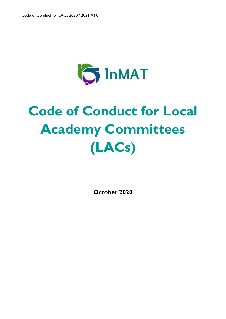

# **Code of Conduct for Local Academy Committees (LACs)**

**October 2020**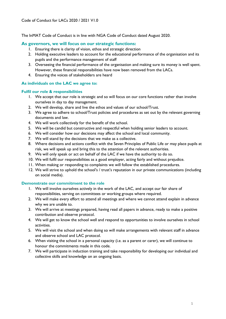The InMAT Code of Conduct is in line with NGA Code of Conduct dated August 2020.

# **As governors, we will focus on our strategic functions:**

- 1. Ensuring there is clarity of vision, ethos and strategic direction
- 2. Holding executive leaders to account for the educational performance of the organisation and its pupils and the performance management of staff
- 3. Overseeing the financial performance of the organisation and making sure its money is well spent. However, these financial responsibilities have now been removed from the LACs.
- 4. Ensuring the voices of stakeholders are heard

# **As individuals on the LAC we agree to:**

# **Fulfil our role & responsibilities**

- 1. We accept that our role is strategic and so will focus on our core functions rather than involve ourselves in day to day management.
- 2. We will develop, share and live the ethos and values of our school/Trust.
- 3. We agree to adhere to school/Trust policies and procedures as set out by the relevant governing documents and law.
- 4. We will work collectively for the benefit of the school.
- 5. We will be candid but constructive and respectful when holding senior leaders to account.
- 6. We will consider how our decisions may affect the school and local community.
- 7. We will stand by the decisions that we make as a collective.
- 8. Where decisions and actions conflict with the Seven Principles of Public Life or may place pupils at risk, we will speak up and bring this to the attention of the relevant authorities.
- 9. We will only speak or act on behalf of the LAC if we have the authority to do so.
- 10. We will fulfil our responsibilities as a good employer, acting fairly and without prejudice.
- 11. When making or responding to complaints we will follow the established procedures.
- 12. We will strive to uphold the school's / trust's reputation in our private communications (including on social media).

# **Demonstrate our commitment to the role**

- 1. We will involve ourselves actively in the work of the LAC, and accept our fair share of responsibilities, serving on committees or working groups where required.
- 2. We will make every effort to attend all meetings and where we cannot attend explain in advance why we are unable to.
- 3. We will arrive at meetings prepared, having read all papers in advance, ready to make a positive contribution and observe protocol.
- 4. We will get to know the school well and respond to opportunities to involve ourselves in school activities.
- 5. We will visit the school and when doing so will make arrangements with relevant staff in advance and observe school and LAC protocol.
- 6. When visiting the school in a personal capacity (i.e. as a parent or carer), we will continue to honour the commitments made in this code.
- 7. We will participate in induction training and take responsibility for developing our individual and collective skills and knowledge on an ongoing basis.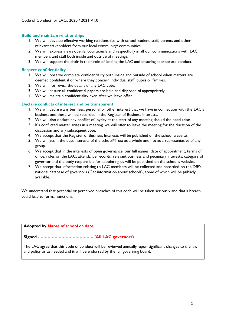## **Build and maintain relationships**

- 1. We will develop effective working relationships with school leaders, staff, parents and other relevant stakeholders from our local community/ communities.
- 2. We will express views openly, courteously and respectfully in all our communications with LAC members and staff both inside and outside of meetings.
- 3. We will support the chair in their role of leading the LAC and ensuring appropriate conduct.

## **Respect confidentiality**

- 1. We will observe complete confidentiality both inside and outside of school when matters are deemed confidential or where they concern individual staff, pupils or families.
- 2. We will not reveal the details of any LAC vote.
- 3. We will ensure all confidential papers are held and disposed of appropriately.
- 4. We will maintain confidentiality even after we leave office.

## **Declare conflicts of interest and be transparent**

- 1. We will declare any business, personal or other interest that we have in connection with the LAC's business and these will be recorded in the Register of Business Interests.
- 2. We will also declare any conflict of loyalty at the start of any meeting should the need arise.
- 3. If a conflicted matter arises in a meeting, we will offer to leave the meeting for the duration of the discussion and any subsequent vote.
- 4. We accept that the Register of Business Interests will be published on the school website.
- 5. We will act in the best interests of the school/Trust as a whole and not as a representative of any group.
- 6. We accept that in the interests of open governance, our full names, date of appointment, terms of office, roles on the LAC, attendance records, relevant business and pecuniary interests, category of governor and the body responsible for appointing us will be published on the school's website.
- 7. We accept that information relating to LAC members will be collected and recorded on the DfE's national database of governors (Get information about schools), some of which will be publicly available.

We understand that potential or perceived breaches of this code will be taken seriously and that a breach could lead to formal sanctions.

**Adopted by Name of school** on **date**

# **Signed ………………………………….** (**All LAC governors)**

The LAC agree that this code of conduct will be reviewed annually, upon significant changes to the law and policy or as needed and it will be endorsed by the full governing board.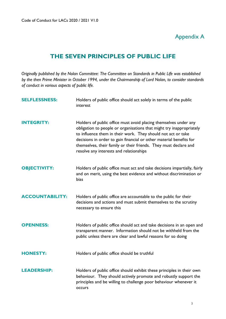# Appendix A

# **THE SEVEN PRINCIPLES OF PUBLIC LIFE**

*Originally published by the Nolan Committee: The Committee on Standards in Public Life was established by the then Prime Minister in October 1994, under the Chairmanship of Lord Nolan, to consider standards of conduct in various aspects of public life.* 

| <b>SELFLESSNESS:</b>   | Holders of public office should act solely in terms of the public<br>interest                                                                                                                                                                                                                                                                                                                  |
|------------------------|------------------------------------------------------------------------------------------------------------------------------------------------------------------------------------------------------------------------------------------------------------------------------------------------------------------------------------------------------------------------------------------------|
| <b>INTEGRITY:</b>      | Holders of public office must avoid placing themselves under any<br>obligation to people or organisations that might try inappropriately<br>to influence them in their work. They should not act or take<br>decisions in order to gain financial or other material benefits for<br>themselves, their family or their friends. They must declare and<br>resolve any interests and relationships |
| <b>OBJECTIVITY:</b>    | Holders of public office must act and take decisions impartially, fairly<br>and on merit, using the best evidence and without discrimination or<br>bias                                                                                                                                                                                                                                        |
| <b>ACCOUNTABILITY:</b> | Holders of public office are accountable to the public for their<br>decisions and actions and must submit themselves to the scrutiny<br>necessary to ensure this                                                                                                                                                                                                                               |
| <b>OPENNESS:</b>       | Holders of public office should act and take decisions in an open and<br>transparent manner. Information should not be withheld from the<br>public unless there are clear and lawful reasons for so doing                                                                                                                                                                                      |
| <b>HONESTY:</b>        | Holders of public office should be truthful                                                                                                                                                                                                                                                                                                                                                    |
| <b>LEADERSHIP:</b>     | Holders of public office should exhibit these principles in their own<br>behaviour. They should actively promote and robustly support the<br>principles and be willing to challenge poor behaviour whenever it<br><b>OCCULS</b>                                                                                                                                                                |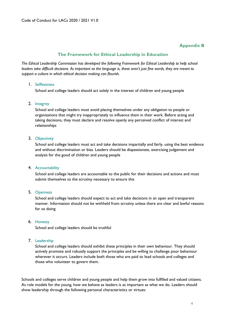# **Appendix B**

# **The Framework for Ethical Leadership in Education**

*The Ethical Leadership Commission has developed the following Framework for Ethical Leadership to help school leaders take difficult decisions. As important as the language is, these aren't just fine words, they are meant to support a culture in which ethical decision making can flourish.* 

#### 1. Selflessness

School and college leaders should act solely in the interest of children and young people

## 2. Integrity

School and college leaders must avoid placing themselves under any obligation to people or organisations that might try inappropriately to influence them in their work. Before acting and taking decisions, they must declare and resolve openly any perceived conflict of interest and relationships

#### 3. Objectivity

School and college leaders must act and take decisions impartially and fairly, using the best evidence and without discrimination or bias. Leaders should be dispassionate, exercising judgement and analysis for the good of children and young people

## 4. Accountability

School and college leaders are accountable to the public for their decisions and actions and must submit themselves to the scrutiny necessary to ensure this

## 5. Openness

School and college leaders should expect to act and take decisions in an open and transparent manner. Information should not be withheld from scrutiny unless there are clear and lawful reasons for so doing

# 6. Honesty

School and college leaders should be truthful

## 7. Leadership

School and college leaders should exhibit these principles in their own behaviour. They should actively promote and robustly support the principles and be willing to challenge poor behaviour wherever it occurs. Leaders include both those who are paid to lead schools and colleges and those who volunteer to govern them.

Schools and colleges serve children and young people and help them grow into fulfilled and valued citizens. As role models for the young, how we behave as leaders is as important as what we do. Leaders should show leadership through the following personal characteristics or virtues: